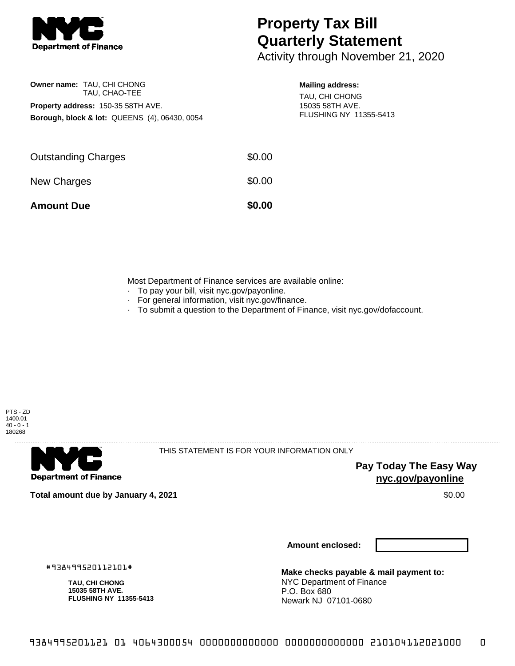

**Owner name:** TAU, CHI CHONG

**Property address:** 150-35 58TH AVE.

TAU, CHAO-TEE

**Borough, block & lot:** QUEENS (4), 06430, 0054

## **Property Tax Bill Quarterly Statement**

Activity through November 21, 2020

## **Mailing address:**

TAU, CHI CHONG 15035 58TH AVE. FLUSHING NY 11355-5413

| <b>Amount Due</b>          | \$0.00 |
|----------------------------|--------|
| New Charges                | \$0.00 |
| <b>Outstanding Charges</b> | \$0.00 |
|                            |        |

Most Department of Finance services are available online:

- · To pay your bill, visit nyc.gov/payonline.
- For general information, visit nyc.gov/finance.
- · To submit a question to the Department of Finance, visit nyc.gov/dofaccount.



**Department of Finance** 

THIS STATEMENT IS FOR YOUR INFORMATION ONLY

**Pay Today The Easy Way nyc.gov/payonline**

**Total amount due by January 4, 2021** \$0.00

**Amount enclosed:**

#938499520112101#

**TAU, CHI CHONG 15035 58TH AVE. FLUSHING NY 11355-5413**

**Make checks payable & mail payment to:** NYC Department of Finance P.O. Box 680 Newark NJ 07101-0680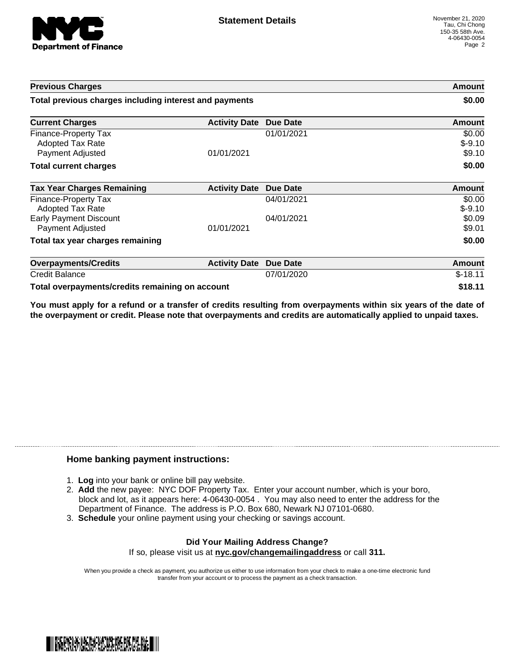

| <b>Previous Charges</b>                                      |                      | Amount<br>\$0.00 |                              |
|--------------------------------------------------------------|----------------------|------------------|------------------------------|
| Total previous charges including interest and payments       |                      |                  |                              |
| <b>Current Charges</b>                                       | <b>Activity Date</b> | <b>Due Date</b>  | Amount                       |
| Finance-Property Tax<br>Adopted Tax Rate<br>Payment Adjusted | 01/01/2021           | 01/01/2021       | \$0.00<br>$$-9.10$<br>\$9.10 |
| <b>Total current charges</b>                                 |                      |                  | \$0.00                       |
| <b>Tax Year Charges Remaining</b>                            | <b>Activity Date</b> | <b>Due Date</b>  | <b>Amount</b>                |
| Finance-Property Tax<br><b>Adopted Tax Rate</b>              |                      | 04/01/2021       | \$0.00<br>$$-9.10$           |
| <b>Early Payment Discount</b><br>Payment Adjusted            | 01/01/2021           | 04/01/2021       | \$0.09<br>\$9.01             |
| Total tax year charges remaining                             |                      |                  | \$0.00                       |
| <b>Overpayments/Credits</b>                                  | <b>Activity Date</b> | <b>Due Date</b>  | Amount                       |
| <b>Credit Balance</b>                                        |                      | 07/01/2020       | $$-18.11$                    |
| Total overpayments/credits remaining on account              |                      |                  | \$18.11                      |

You must apply for a refund or a transfer of credits resulting from overpayments within six years of the date of **the overpayment or credit. Please note that overpayments and credits are automatically applied to unpaid taxes.**

## **Home banking payment instructions:**

- 1. **Log** into your bank or online bill pay website.
- 2. **Add** the new payee: NYC DOF Property Tax. Enter your account number, which is your boro, block and lot, as it appears here: 4-06430-0054 . You may also need to enter the address for the Department of Finance. The address is P.O. Box 680, Newark NJ 07101-0680.
- 3. **Schedule** your online payment using your checking or savings account.

## **Did Your Mailing Address Change?** If so, please visit us at **nyc.gov/changemailingaddress** or call **311.**

When you provide a check as payment, you authorize us either to use information from your check to make a one-time electronic fund transfer from your account or to process the payment as a check transaction.